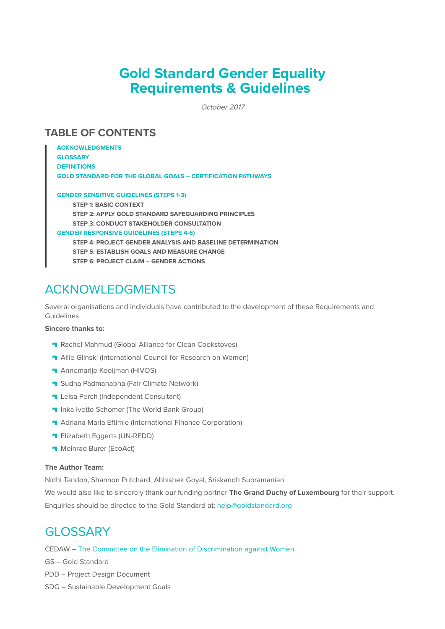# **Gold Standard Gender Equality Requirements & Guidelines**

October 2017

# **TABLE OF CONTENTS**

**ACKNOWLEDGMENTS GLOSSARY DEFINITIONS GOLD STANDARD FOR THE GLOBAL GOALS – CERTIFICATION PATHWAYS GENDER SENSITIVE GUIDELINES (STEPS 1-3) STEP 1: BASIC CONTEXT STEP 2: APPLY GOLD STANDARD SAFEGUARDING PRINCIPLES STEP 3: CONDUCT STAKEHOLDER CONSULTATION GENDER RESPONSIVE GUIDELINES (STEPS 4-6) STEP 4: PROJECT GENDER ANALYSIS AND BASELINE DETERMINATION STEP 5: ESTABLISH GOALS AND MEASURE CHANGE STEP 6: PROJECT CLAIM – GENDER ACTIONS**

# ACKNOWLEDGMENTS

Several organisations and individuals have contributed to the development of these Requirements and Guidelines.

# **Sincere thanks to:**

- **Rachel Mahmud (Global Alliance for Clean Cookstoves)**
- **T** Allie Glinski (International Council for Research on Women)
- **Annemarije Kooijman (HIVOS)**
- **Sudha Padmanabha (Fair Climate Network)**
- **Leisa Perch (Independent Consultant)**
- **Inka Ivette Schomer (The World Bank Group)**
- **Adriana Maria Eftimie (International Finance Corporation)**
- **Elizabeth Eggerts (UN-REDD)**
- **Meinrad Burer (EcoAct)**

# **The Author Team:**

Nidhi Tandon, Shannon Pritchard, Abhishek Goyal, Sriskandh Subramanian

We would also like to sincerely thank our funding partner **The Grand Duchy of Luxembourg** for their support. Enquiries should be directed to the Gold Standard at: help@goldstandard.org

# **GLOSSARY**

CEDAW – The Committee on the Elimination of Discrimination against Women

GS – Gold Standard

- PDD Project Design Document
- SDG Sustainable Development Goals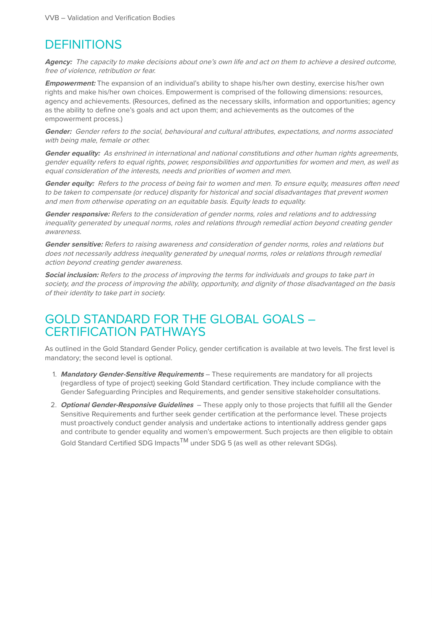# **DEFINITIONS**

**Agency:** The capacity to make decisions about one's own life and act on them to achieve a desired outcome, free of violence, retribution or fear.

**Empowerment:** The expansion of an individual's ability to shape his/her own destiny, exercise his/her own rights and make his/her own choices. Empowerment is comprised of the following dimensions: resources, agency and achievements. (Resources, defined as the necessary skills, information and opportunities; agency as the ability to define one's goals and act upon them; and achievements as the outcomes of the empowerment process.)

**Gender:** Gender refers to the social, behavioural and cultural attributes, expectations, and norms associated with being male, female or other.

**Gender equality:** As enshrined in international and national constitutions and other human rights agreements, gender equality refers to equal rights, power, responsibilities and opportunities for women and men, as well as equal consideration of the interests, needs and priorities of women and men.

Gender equity: Refers to the process of being fair to women and men. To ensure equity, measures often need to be taken to compensate (or reduce) disparity for historical and social disadvantages that prevent women and men from otherwise operating on an equitable basis. Equity leads to equality.

**Gender responsive:** Refers to the consideration of gender norms, roles and relations and to addressing inequality generated by unequal norms, roles and relations through remedial action beyond creating gender awareness.

**Gender sensitive:** Refers to raising awareness and consideration of gender norms, roles and relations but does not necessarily address inequality generated by unequal norms, roles or relations through remedial action beyond creating gender awareness.

**Social inclusion:** Refers to the process of improving the terms for individuals and groups to take part in society, and the process of improving the ability, opportunity, and dignity of those disadvantaged on the basis of their identity to take part in society.

# GOLD STANDARD FOR THE GLOBAL GOALS – CERTIFICATION PATHWAYS

As outlined in the Gold Standard Gender Policy, gender certification is available at two levels. The first level is mandatory; the second level is optional.

- 1. **Mandatory Gender-Sensitive Requirements** These requirements are mandatory for all projects (regardless of type of project) seeking Gold Standard certification. They include compliance with the Gender Safeguarding Principles and Requirements, and gender sensitive stakeholder consultations.
- 2. **Optional Gender-Responsive Guidelines** These apply only to those projects that fulfill all the Gender Sensitive Requirements and further seek gender certification at the performance level. These projects must proactively conduct gender analysis and undertake actions to intentionally address gender gaps and contribute to gender equality and women's empowerment. Such projects are then eligible to obtain Gold Standard Certified SDG Impacts<sup>TM</sup> under SDG 5 (as well as other relevant SDGs).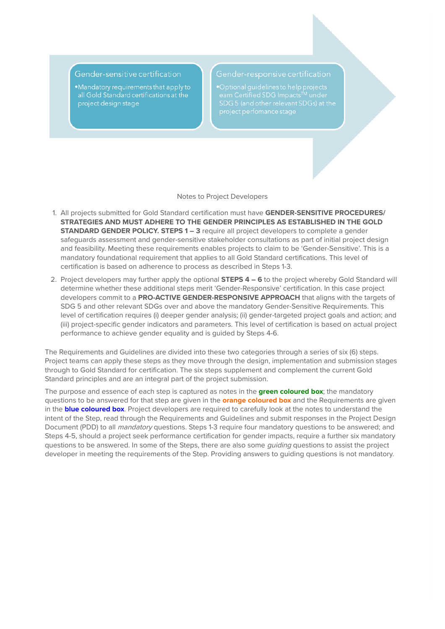# Gender-sensitive certification

.Mandatory requirements that apply to all Gold Standard certifications at the project design stage

.<br>Optional quidelines to help projects

#### Notes to Project Developers

- 1. All projects submitted for Gold Standard certification must have **GENDER-SENSITIVE PROCEDURES/ STRATEGIES AND MUST ADHERE TO THE GENDER PRINCIPLES AS ESTABLISHED IN THE GOLD STANDARD GENDER POLICY. STEPS 1 – 3** require all project developers to complete a gender safeguards assessment and gender-sensitive stakeholder consultations as part of initial project design and feasibility. Meeting these requirements enables projects to claim to be 'Gender-Sensitive'. This is a mandatory foundational requirement that applies to all Gold Standard certifications. This level of certification is based on adherence to process as described in Steps 1-3.
- 2. Project developers may further apply the optional **STEPS 4 6** to the project whereby Gold Standard will determine whether these additional steps merit 'Gender-Responsive' certification. In this case project developers commit to a **PRO-ACTIVE GENDER-RESPONSIVE APPROACH** that aligns with the targets of SDG 5 and other relevant SDGs over and above the mandatory Gender-Sensitive Requirements. This level of certification requires (i) deeper gender analysis; (ii) gender-targeted project goals and action; and (iii) project-specific gender indicators and parameters. This level of certification is based on actual project performance to achieve gender equality and is guided by Steps 4-6.

The Requirements and Guidelines are divided into these two categories through a series of six (6) steps. Project teams can apply these steps as they move through the design, implementation and submission stages through to Gold Standard for certification. The six steps supplement and complement the current Gold Standard principles and are an integral part of the project submission.

The purpose and essence of each step is captured as notes in the **green coloured box**; the mandatory questions to be answered for that step are given in the **orange coloured box** and the Requirements are given in the **blue coloured box**. Project developers are required to carefully look at the notes to understand the intent of the Step, read through the Requirements and Guidelines and submit responses in the Project Design Document (PDD) to all *mandatory* questions. Steps 1-3 require four mandatory questions to be answered; and Steps 4-5, should a project seek performance certification for gender impacts, require a further six mandatory questions to be answered. In some of the Steps, there are also some *guiding* questions to assist the project developer in meeting the requirements of the Step. Providing answers to guiding questions is not mandatory.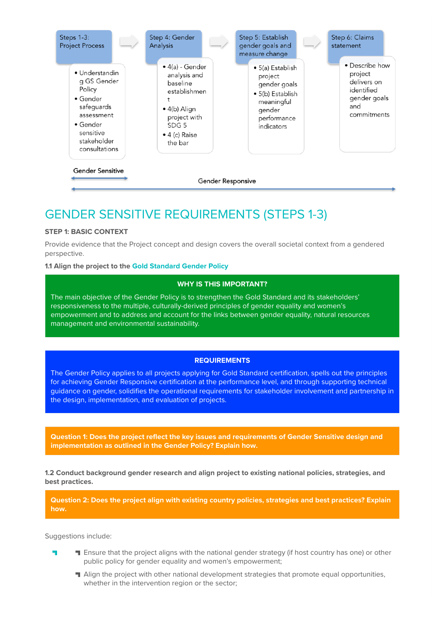

# GENDER SENSITIVE REQUIREMENTS (STEPS 1-3)

# **STEP 1: BASIC CONTEXT**

Provide evidence that the Project concept and design covers the overall societal context from a gendered perspective.

# **1.1 Align the project to the Gold Standard Gender Policy**

# **WHY IS THIS IMPORTANT?**

The main objective of the Gender Policy is to strengthen the Gold Standard and its stakeholders' responsiveness to the multiple, culturally-derived principles of gender equality and women's empowerment and to address and account for the links between gender equality, natural resources management and environmental sustainability.

# **REQUIREMENTS**

The Gender Policy applies to all projects applying for Gold Standard certification, spells out the principles for achieving Gender Responsive certification at the performance level, and through supporting technical guidance on gender, solidifies the operational requirements for stakeholder involvement and partnership in the design, implementation, and evaluation of projects.

**Question 1: Does the project reflect the key issues and requirements of Gender Sensitive design and implementation as outlined in the Gender Policy? Explain how.**

**1.2 Conduct background gender research and align project to existing national policies, strategies, and best practices.**

**Question 2: Does the project align with existing country policies, strategies and best practices? Explain how.**

Suggestions include:

- **T** Ensure that the project aligns with the national gender strategy (if host country has one) or other public policy for gender equality and women's empowerment;
	- **Align the project with other national development strategies that promote equal opportunities,** whether in the intervention region or the sector;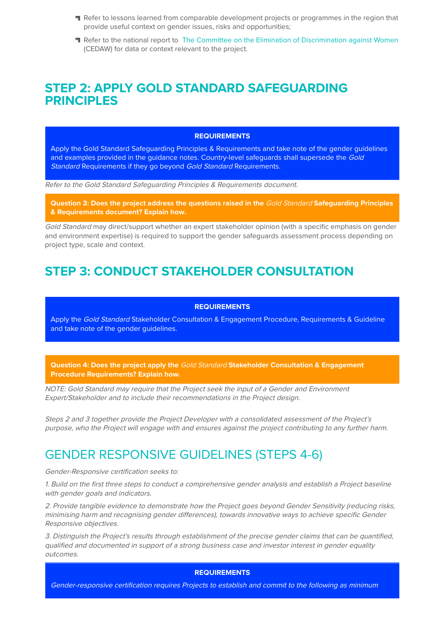- Refer to lessons learned from comparable development projects or programmes in the region that provide useful context on gender issues, risks and opportunities;
- **T** Refer to the national report to The Committee on the Elimination of Discrimination against Women (CEDAW) for data or context relevant to the project.

# **STEP 2: APPLY GOLD STANDARD SAFEGUARDING PRINCIPI FS**

#### **REQUIREMENTS**

Apply the Gold Standard Safeguarding Principles & Requirements and take note of the gender guidelines and examples provided in the guidance notes. Country-level safeguards shall supersede the Gold Standard Requirements if they go beyond Gold Standard Requirements.

Refer to the Gold Standard Safeguarding Principles & Requirements document.

**Question 3: Does the project address the questions raised in the** Gold Standard **Safeguarding Principles & Requirements document? Explain how.**

Gold Standard may direct/support whether an expert stakeholder opinion (with a specific emphasis on gender and environment expertise) is required to support the gender safeguards assessment process depending on project type, scale and context.

# **STEP 3: CONDUCT STAKEHOLDER CONSULTATION**

#### **REQUIREMENTS**

Apply the Gold Standard Stakeholder Consultation & Engagement Procedure, Requirements & Guideline and take note of the gender guidelines.

**Question 4: Does the project apply the** Gold Standard **Stakeholder Consultation & Engagement Procedure Requirements? Explain how.**

NOTE: Gold Standard may require that the Project seek the input of a Gender and Environment Expert/Stakeholder and to include their recommendations in the Project design.

Steps 2 and 3 together provide the Project Developer with a consolidated assessment of the Project's purpose, who the Project will engage with and ensures against the project contributing to any further harm.

# GENDER RESPONSIVE GUIDELINES (STEPS 4-6)

Gender-Responsive certification seeks to:

1. Build on the first three steps to conduct a comprehensive gender analysis and establish a Project baseline with gender goals and indicators.

2. Provide tangible evidence to demonstrate how the Project goes beyond Gender Sensitivity (reducing risks, minimising harm and recognising gender differences), towards innovative ways to achieve specific Gender Responsive objectives.

3. Distinguish the Project's results through establishment of the precise gender claims that can be quantified, qualified and documented in support of a strong business case and investor interest in gender equality outcomes.

# **REQUIREMENTS**

Gender-responsive certification requires Projects to establish and commit to the following as minimum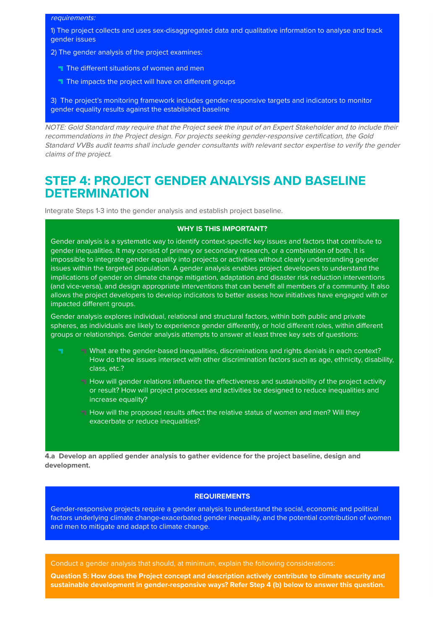#### requirements:

1) The project collects and uses sex-disaggregated data and qualitative information to analyse and track gender issues

- 2) The gender analysis of the project examines:
- The different situations of women and men
- The impacts the project will have on different groups

3) The project's monitoring framework includes gender-responsive targets and indicators to monitor gender equality results against the established baseline

NOTE: Gold Standard may require that the Project seek the input of an Expert Stakeholder and to include their recommendations in the Project design. For projects seeking gender-responsive certification, the Gold Standard VVBs audit teams shall include gender consultants with relevant sector expertise to verify the gender claims of the project.

# **STEP 4: PROJECT GENDER ANALYSIS AND BASELINE DETERMINATION**

Integrate Steps 1-3 into the gender analysis and establish project baseline.

### **WHY IS THIS IMPORTANT?**

Gender analysis is a systematic way to identify context-specific key issues and factors that contribute to gender inequalities. It may consist of primary or secondary research, or a combination of both. It is impossible to integrate gender equality into projects or activities without clearly understanding gender issues within the targeted population. A gender analysis enables project developers to understand the implications of gender on climate change mitigation, adaptation and disaster risk reduction interventions (and vice-versa), and design appropriate interventions that can benefit all members of a community. It also allows the project developers to develop indicators to better assess how initiatives have engaged with or impacted different groups.

Gender analysis explores individual, relational and structural factors, within both public and private spheres, as individuals are likely to experience gender differently, or hold different roles, within different groups or relationships. Gender analysis attempts to answer at least three key sets of questions:

- **EX** What are the gender-based inequalities, discriminations and rights denials in each context? How do these issues intersect with other discrimination factors such as age, ethnicity, disability, class, etc.?
	- **H** How will gender relations influence the effectiveness and sustainability of the project activity or result? How will project processes and activities be designed to reduce inequalities and increase equality?
	- How will the proposed results affect the relative status of women and men? Will they exacerbate or reduce inequalities?

**4.a Develop an applied gender analysis to gather evidence for the project baseline, design and development.**

# **REQUIREMENTS**

Gender-responsive projects require a gender analysis to understand the social, economic and political factors underlying climate change-exacerbated gender inequality, and the potential contribution of women and men to mitigate and adapt to climate change.

Conduct a gender analysis that should, at minimum, explain the following considerations:

**Question 5: How does the Project concept and description actively contribute to climate security and sustainable development in gender-responsive ways? Refer Step 4 (b) below to answer this question.**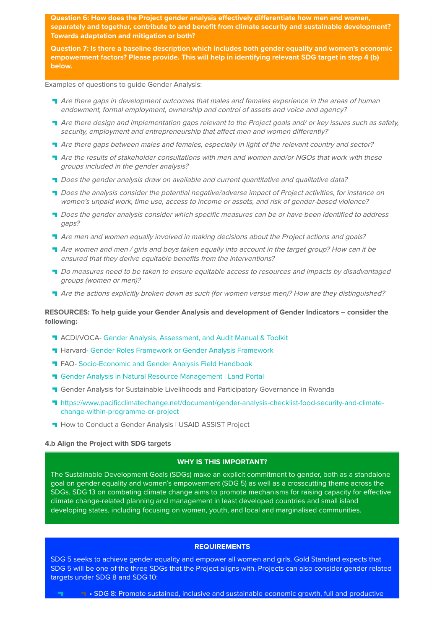**Question 6: How does the Project gender analysis effectively differentiate how men and women, separately and together, contribute to and benefit from climate security and sustainable development? Towards adaptation and mitigation or both?**

**Question 7: Is there a baseline description which includes both gender equality and women's economic empowerment factors? Please provide. This will help in identifying relevant SDG target in step 4 (b) below.** 

Examples of questions to guide Gender Analysis:

- **T** Are there gaps in development outcomes that males and females experience in the areas of human endowment, formal employment, ownership and control of assets and voice and agency?
- Are there design and implementation gaps relevant to the Project goals and/ or key issues such as safety, security, employment and entrepreneurship that affect men and women differently?
- Are there gaps between males and females, especially in light of the relevant country and sector?
- Are the results of stakeholder consultations with men and women and/or NGOs that work with these groups included in the gender analysis?
- Does the gender analysis draw on available and current quantitative and qualitative data?
- **T** Does the analysis consider the potential negative/adverse impact of Project activities, for instance on women's unpaid work, time use, access to income or assets, and risk of gender-based violence?
- **T** Does the gender analysis consider which specific measures can be or have been identified to address gaps?
- **T** Are men and women equally involved in making decisions about the Project actions and goals?
- Are women and men / girls and boys taken equally into account in the target group? How can it be ensured that they derive equitable benefits from the interventions?
- **Do measures need to be taken to ensure equitable access to resources and impacts by disadvantaged** groups (women or men)?
- Are the actions explicitly broken down as such (for women versus men)? How are they distinguished?

# **RESOURCES: To help guide your Gender Analysis and development of Gender Indicators – consider the following:**

- **T** ACDI/VOCA- Gender Analysis, Assessment, and Audit Manual & Toolkit
- **Harvard- Gender Roles Framework or Gender Analysis Framework**
- **T FAO- Socio-Economic and Gender Analysis Field Handbook**
- **T** Gender Analysis in Natural Resource Management | Land Portal
- **T** Gender Analysis for Sustainable Livelihoods and Participatory Governance in Rwanda
- https://www.pacificclimatechange.net/document/gender-analysis-checklist-food-security-and-climatechange-within-programme-or-project
- **H** How to Conduct a Gender Analysis | USAID ASSIST Project

#### **4.b Align the Project with SDG targets**

# **WHY IS THIS IMPORTANT?**

The Sustainable Development Goals (SDGs) make an explicit commitment to gender, both as a standalone goal on gender equality and women's empowerment (SDG 5) as well as a crosscutting theme across the SDGs. SDG 13 on combating climate change aims to promote mechanisms for raising capacity for effective climate change-related planning and management in least developed countries and small island developing states, including focusing on women, youth, and local and marginalised communities.

# **REQUIREMENTS**

SDG 5 seeks to achieve gender equality and empower all women and girls. Gold Standard expects that SDG 5 will be one of the three SDGs that the Project aligns with. Projects can also consider gender related targets under SDG 8 and SDG 10:

• SDG 8: Promote sustained, inclusive and sustainable economic growth, full and productive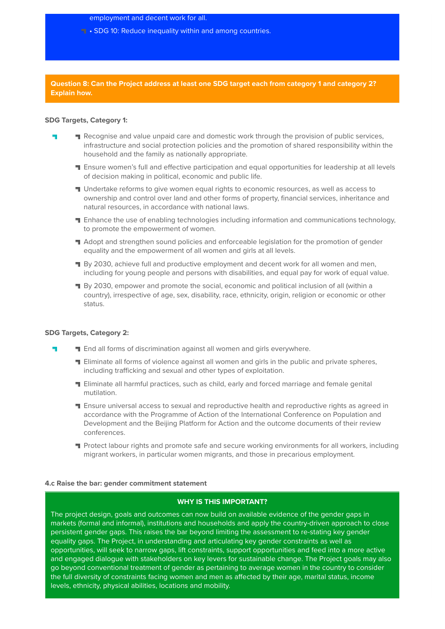employment and decent work for all.

**F** • SDG 10: Reduce inequality within and among countries.

**Question 8: Can the Project address at least one SDG target each from category 1 and category 2? Explain how.**

# **SDG Targets, Category 1:**

- **T** Recognise and value unpaid care and domestic work through the provision of public services, infrastructure and social protection policies and the promotion of shared responsibility within the household and the family as nationally appropriate.
	- **T** Ensure women's full and effective participation and equal opportunities for leadership at all levels of decision making in political, economic and public life.
	- **If** Undertake reforms to give women equal rights to economic resources, as well as access to ownership and control over land and other forms of property, financial services, inheritance and natural resources, in accordance with national laws.
	- **T** Enhance the use of enabling technologies including information and communications technology, to promote the empowerment of women.
	- Adopt and strengthen sound policies and enforceable legislation for the promotion of gender equality and the empowerment of all women and girls at all levels.
	- **By 2030, achieve full and productive employment and decent work for all women and men,** including for young people and persons with disabilities, and equal pay for work of equal value.
	- **By 2030, empower and promote the social, economic and political inclusion of all (within a** country), irrespective of age, sex, disability, race, ethnicity, origin, religion or economic or other status.

### **SDG Targets, Category 2:**

- **T** End all forms of discrimination against all women and girls everywhere. ٣
	- **T** Eliminate all forms of violence against all women and girls in the public and private spheres, including trafficking and sexual and other types of exploitation.
	- Eliminate all harmful practices, such as child, early and forced marriage and female genital mutilation.
	- **T** Ensure universal access to sexual and reproductive health and reproductive rights as agreed in accordance with the Programme of Action of the International Conference on Population and Development and the Beijing Platform for Action and the outcome documents of their review conferences.
	- **T** Protect labour rights and promote safe and secure working environments for all workers, including migrant workers, in particular women migrants, and those in precarious employment.

#### **4.c Raise the bar: gender commitment statement**

### **WHY IS THIS IMPORTANT?**

The project design, goals and outcomes can now build on available evidence of the gender gaps in markets (formal and informal), institutions and households and apply the country-driven approach to close persistent gender gaps. This raises the bar beyond limiting the assessment to re-stating key gender equality gaps. The Project, in understanding and articulating key gender constraints as well as opportunities, will seek to narrow gaps, lift constraints, support opportunities and feed into a more active and engaged dialogue with stakeholders on key levers for sustainable change. The Project goals may also go beyond conventional treatment of gender as pertaining to average women in the country to consider the full diversity of constraints facing women and men as affected by their age, marital status, income levels, ethnicity, physical abilities, locations and mobility.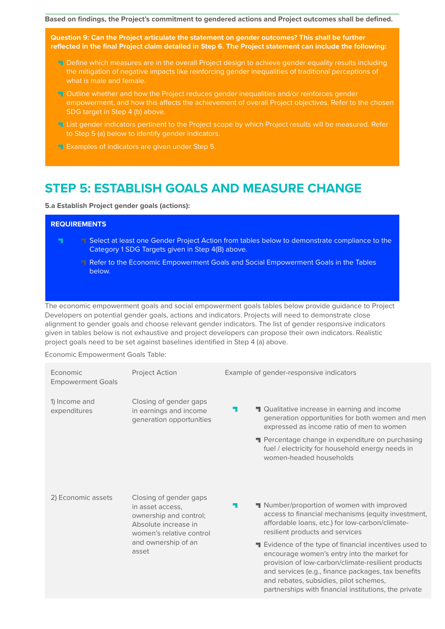**Based on findings, the Project's commitment to gendered actions and Project outcomes shall be defined.**

**Question 9: Can the Project articulate the statement on gender outcomes? This shall be further reflected in the final Project claim detailed in Step 6. The Project statement can include the following:**

- **T** Define which measures are in the overall Project design to achieve gender equality results including the mitigation of negative impacts like reinforcing gender inequalities of traditional perceptions of what is male and female.
- **T** Outline whether and how the Project reduces gender inequalities and/or reinforces gender empowerment, and how this affects the achievement of overall Project objectives. Refer to the chosen SDG target in Step 4 (b) above.
- **List gender indicators pertinent to the Project scope by which Project results will be measured. Refer** to Step 5 (a) below to identify gender indicators.
- **Examples of indicators are given under Step 5.**

# **STEP 5: ESTABLISH GOALS AND MEASURE CHANGE**

**5.a Establish Project gender goals (actions):**

# **REQUIREMENTS**

- $\mathbf{r}$ Select at least one Gender Project Action from tables below to demonstrate compliance to the Category 1 SDG Targets given in Step 4(B) above.
	- Refer to the Economic Empowerment Goals and Social Empowerment Goals in the Tables below.

The economic empowerment goals and social empowerment goals tables below provide guidance to Project Developers on potential gender goals, actions and indicators. Projects will need to demonstrate close alignment to gender goals and choose relevant gender indicators. The list of gender responsive indicators given in tables below is not exhaustive and project developers can propose their own indicators. Realistic project goals need to be set against baselines identified in Step 4 (a) above.

Economic Empowerment Goals Table:

| Economic<br><b>Empowerment Goals</b> | <b>Project Action</b>                                                                                                                                    | Example of gender-responsive indicators                                                                                                                                                                                                                                           |  |  |
|--------------------------------------|----------------------------------------------------------------------------------------------------------------------------------------------------------|-----------------------------------------------------------------------------------------------------------------------------------------------------------------------------------------------------------------------------------------------------------------------------------|--|--|
| 1) Income and<br>expenditures        | Closing of gender gaps<br>in earnings and income<br>generation opportunities                                                                             | Qualitative increase in earning and income<br>н.<br>generation opportunities for both women and men<br>expressed as income ratio of men to women<br>Percentage change in expenditure on purchasing<br>fuel / electricity for household energy needs in<br>women-headed households |  |  |
| 2) Economic assets                   | Closing of gender gaps<br>in asset access,<br>ownership and control;<br>Absolute increase in<br>women's relative control<br>and ownership of an<br>asset | Number/proportion of women with improved<br>ь.<br>access to financial mechanisms (equity investment,<br>affordable loans, etc.) for low-carbon/climate-<br>resilient products and services<br>Evidence of the type of financial incentives used to                                |  |  |
|                                      |                                                                                                                                                          | encourage women's entry into the market for<br>provision of low-carbon/climate-resilient products<br>and services (e.g., finance packages, tax benefits<br>and rebates, subsidies, pilot schemes,<br>partnerships with financial institutions, the private                        |  |  |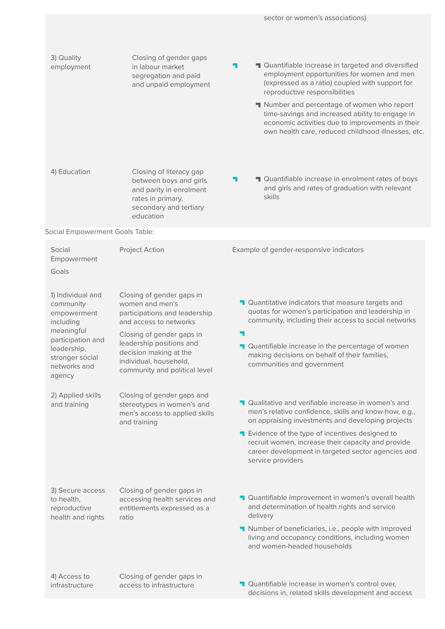| 3) Quality<br>employment                                                                                                                                  | Closing of gender gaps<br>in labour market<br>segregation and paid<br>and unpaid employment                                                                                                                                                           | Quantifiable increase in targeted and diversified<br>۰.<br>employment opportunities for women and men<br>(expressed as a ratio) coupled with support for<br>reproductive responsibilities<br>Number and percentage of women who report<br>time-savings and increased ability to engage in<br>economic activities due to improvements in their<br>own health care, reduced childhood illnesses, etc. |
|-----------------------------------------------------------------------------------------------------------------------------------------------------------|-------------------------------------------------------------------------------------------------------------------------------------------------------------------------------------------------------------------------------------------------------|-----------------------------------------------------------------------------------------------------------------------------------------------------------------------------------------------------------------------------------------------------------------------------------------------------------------------------------------------------------------------------------------------------|
| 4) Education                                                                                                                                              | Closing of literacy gap<br>between boys and girls<br>and parity in enrolment<br>rates in primary,<br>secondary and tertiary<br>education                                                                                                              | <b>T</b> Quantifiable increase in enrolment rates of boys<br>۰.<br>and girls and rates of graduation with relevant<br>skills                                                                                                                                                                                                                                                                        |
| Social Empowerment Goals Table:                                                                                                                           |                                                                                                                                                                                                                                                       |                                                                                                                                                                                                                                                                                                                                                                                                     |
| Social<br>Empowerment<br>Goals                                                                                                                            | Project Action                                                                                                                                                                                                                                        | Example of gender-responsive indicators                                                                                                                                                                                                                                                                                                                                                             |
| 1) Individual and<br>community<br>empowerment<br>including<br>meaningful<br>participation and<br>leadership,<br>stronger social<br>networks and<br>agency | Closing of gender gaps in<br>women and men's<br>participations and leadership<br>and access to networks<br>Closing of gender gaps in<br>leadership positions and<br>decision making at the<br>individual, household,<br>community and political level | <b>T</b> Quantitative indicators that measure targets and<br>quotas for women's participation and leadership in<br>community, including their access to social networks<br>4<br>Quantifiable increase in the percentage of women<br>making decisions on behalf of their families,<br>communities and government                                                                                     |
| 2) Applied skills<br>and training                                                                                                                         | Closing of gender gaps and<br>stereotypes in women's and<br>men's access to applied skills<br>and training                                                                                                                                            | <b>T</b> Qualitative and verifiable increase in women's and<br>men's relative confidence, skills and know-how, e.g.,<br>on appraising investments and developing projects<br>Evidence of the type of incentives designed to<br>recruit women, increase their capacity and provide<br>career development in targeted sector agencies and<br>service providers                                        |
| 3) Secure access<br>to health,<br>reproductive<br>health and rights                                                                                       | Closing of gender gaps in<br>accessing health services and<br>entitlements expressed as a<br>ratio                                                                                                                                                    | <b>T</b> Quantifiable improvement in women's overall health<br>and determination of health rights and service<br>delivery<br>Number of beneficiaries, i.e., people with improved<br>living and occupancy conditions, including women<br>and women-headed households                                                                                                                                 |
| 4) Access to<br>infrastructure                                                                                                                            | Closing of gender gaps in<br>access to infrastructure                                                                                                                                                                                                 | Quantifiable increase in women's control over,<br>decisions in, related skills development and access                                                                                                                                                                                                                                                                                               |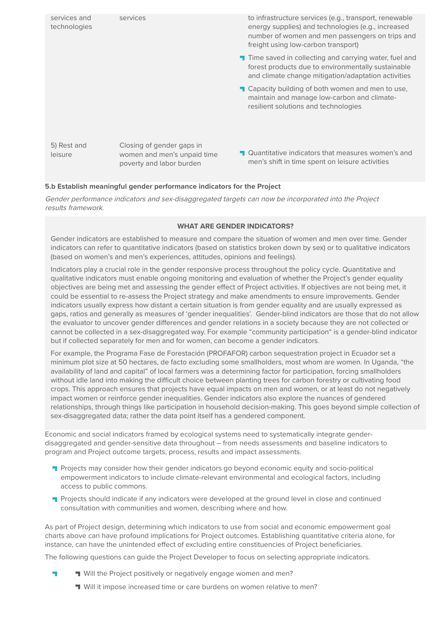

# **5.b Establish meaningful gender performance indicators for the Project**

Gender performance indicators and sex-disaggregated targets can now be incorporated into the Project results framework.

# **WHAT ARE GENDER INDICATORS?**

Gender indicators are established to measure and compare the situation of women and men over time. Gender indicators can refer to quantitative indicators (based on statistics broken down by sex) or to qualitative indicators (based on women's and men's experiences, attitudes, opinions and feelings).

Indicators play a crucial role in the gender responsive process throughout the policy cycle. Quantitative and qualitative indicators must enable ongoing monitoring and evaluation of whether the Project's gender equality objectives are being met and assessing the gender effect of Project activities. If objectives are not being met, it could be essential to re-assess the Project strategy and make amendments to ensure improvements. Gender indicators usually express how distant a certain situation is from gender equality and are usually expressed as gaps, ratios and generally as measures of 'gender inequalities'. Gender-blind indicators are those that do not allow the evaluator to uncover gender differences and gender relations in a society because they are not collected or cannot be collected in a sex-disaggregated way. For example "community participation" is a gender-blind indicator but if collected separately for men and for women, can become a gender indicators.

For example, the Programa Fase de Forestación (PROFAFOR) carbon sequestration project in Ecuador set a minimum plot size at 50 hectares, de facto excluding some smallholders, most whom are women. In Uganda, "the availability of land and capital" of local farmers was a determining factor for participation, forcing smallholders without idle land into making the difficult choice between planting trees for carbon forestry or cultivating food crops. This approach ensures that projects have equal impacts on men and women, or at least do not negatively impact women or reinforce gender inequalities. Gender indicators also explore the nuances of gendered relationships, through things like participation in household decision-making. This goes beyond simple collection of sex-disaggregated data; rather the data point itself has a gendered component.

Economic and social indicators framed by ecological systems need to systematically integrate genderdisaggregated and gender-sensitive data throughout – from needs assessments and baseline indicators to program and Project outcome targets, process, results and impact assessments.

- **Projects may consider how their gender indicators go beyond economic equity and socio-political** empowerment indicators to include climate-relevant environmental and ecological factors, including access to public commons.
- **T** Projects should indicate if any indicators were developed at the ground level in close and continued consultation with communities and women, describing where and how.

As part of Project design, determining which indicators to use from social and economic empowerment goal charts above can have profound implications for Project outcomes. Establishing quantitative criteria alone, for instance, can have the unintended effect of excluding entire constituencies of Project beneficiaries.

The following questions can guide the Project Developer to focus on selecting appropriate indicators.

- Will the Project positively or negatively engage women and men?
	- Will it impose increased time or care burdens on women relative to men?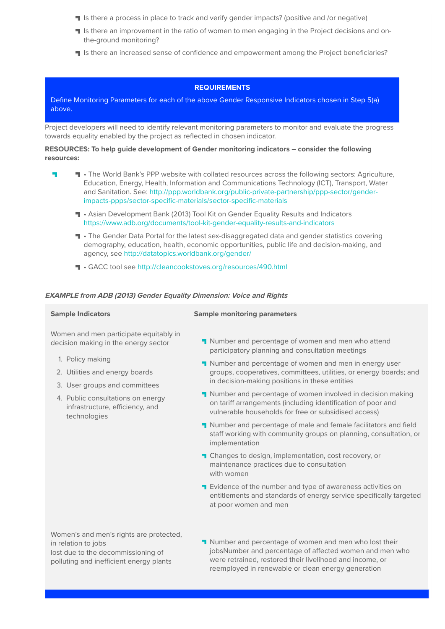- If Is there a process in place to track and verify gender impacts? (positive and /or negative)
- If Is there an improvement in the ratio of women to men engaging in the Project decisions and onthe-ground monitoring?
- If Is there an increased sense of confidence and empowerment among the Project beneficiaries?

# **REQUIREMENTS**

Define Monitoring Parameters for each of the above Gender Responsive Indicators chosen in Step 5(a) above.

Project developers will need to identify relevant monitoring parameters to monitor and evaluate the progress towards equality enabled by the project as reflected in chosen indicator.

## **RESOURCES: To help guide development of Gender monitoring indicators – consider the following resources:**

- **T** The World Bank's PPP website with collated resources across the following sectors: Agriculture, L. Education, Energy, Health, Information and Communications Technology (ICT), Transport, Water and Sanitation. See: http://ppp.worldbank.org/public-private-partnership/ppp-sector/genderimpacts-ppps/sector-specific-materials/sector-specific-materials
	- Asian Development Bank (2013) Tool Kit on Gender Equality Results and Indicators https://www.adb.org/documents/tool-kit-gender-equality-results-and-indicators
	- **T** The Gender Data Portal for the latest sex-disaggregated data and gender statistics covering demography, education, health, economic opportunities, public life and decision-making, and agency, see http://datatopics.worldbank.org/gender/
	- GACC tool see http://cleancookstoves.org/resources/490.html

### **EXAMPLE from ADB (2013) Gender Equality Dimension: Voice and Rights**

Women and men participate equitably in decision making in the energy sector

- 1. Policy making
- 2. Utilities and energy boards
- 3. User groups and committees
- 4. Public consultations on energy infrastructure, efficiency, and technologies

### **Sample Indicators Sample monitoring parameters**

- **Number and percentage of women and men who attend** participatory planning and consultation meetings
- **Number and percentage of women and men in energy user** groups, cooperatives, committees, utilities, or energy boards; and in decision-making positions in these entities
- **Number and percentage of women involved in decision making** on tariff arrangements (including identification of poor and vulnerable households for free or subsidised access)
- Number and percentage of male and female facilitators and field staff working with community groups on planning, consultation, or implementation
- **T** Changes to design, implementation, cost recovery, or maintenance practices due to consultation with women
- **T** Evidence of the number and type of awareness activities on entitlements and standards of energy service specifically targeted at poor women and men

Women's and men's rights are protected, in relation to jobs lost due to the decommissioning of polluting and inefficient energy plants

**Number and percentage of women and men who lost their** jobsNumber and percentage of affected women and men who were retrained, restored their livelihood and income, or reemployed in renewable or clean energy generation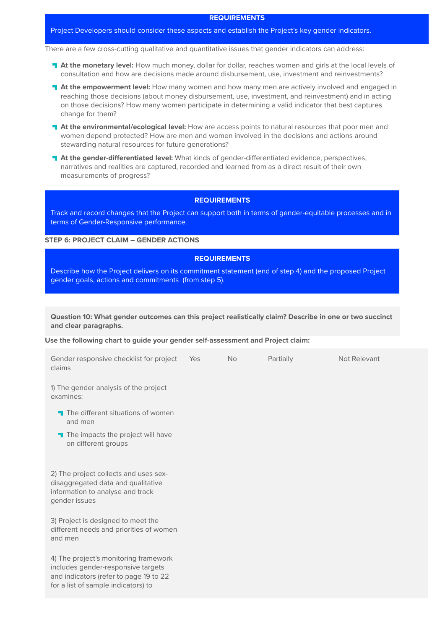### **REQUIREMENTS**

### Project Developers should consider these aspects and establish the Project's key gender indicators.

There are a few cross-cutting qualitative and quantitative issues that gender indicators can address:

- **At the monetary level:** How much money, dollar for dollar, reaches women and girls at the local levels of consultation and how are decisions made around disbursement, use, investment and reinvestments?
- **At the empowerment level:** How many women and how many men are actively involved and engaged in reaching those decisions (about money disbursement, use, investment, and reinvestment) and in acting on those decisions? How many women participate in determining a valid indicator that best captures change for them?
- **At the environmental/ecological level:** How are access points to natural resources that poor men and women depend protected? How are men and women involved in the decisions and actions around stewarding natural resources for future generations?
- **At the gender-differentiated level:** What kinds of gender-differentiated evidence, perspectives, narratives and realities are captured, recorded and learned from as a direct result of their own measurements of progress?

# **REQUIREMENTS**

Track and record changes that the Project can support both in terms of gender-equitable processes and in terms of Gender-Responsive performance.

### **STEP 6: PROJECT CLAIM – GENDER ACTIONS**

# **REQUIREMENTS**

Describe how the Project delivers on its commitment statement (end of step 4) and the proposed Project gender goals, actions and commitments (from step 5).

**Question 10: What gender outcomes can this project realistically claim? Describe in one or two succinct and clear paragraphs.**

#### **Use the following chart to guide your gender self-assessment and Project claim:**

| Gender responsive checklist for project<br>claims                                                                                                            | Yes | <b>No</b> | Partially | Not Relevant |
|--------------------------------------------------------------------------------------------------------------------------------------------------------------|-----|-----------|-----------|--------------|
| 1) The gender analysis of the project<br>examines:                                                                                                           |     |           |           |              |
| The different situations of women<br>and men                                                                                                                 |     |           |           |              |
| The impacts the project will have<br>on different groups                                                                                                     |     |           |           |              |
| 2) The project collects and uses sex-<br>disaggregated data and qualitative<br>information to analyse and track<br>gender issues                             |     |           |           |              |
| 3) Project is designed to meet the<br>different needs and priorities of women<br>and men                                                                     |     |           |           |              |
| 4) The project's monitoring framework<br>includes gender-responsive targets<br>and indicators (refer to page 19 to 22<br>for a list of sample indicators) to |     |           |           |              |